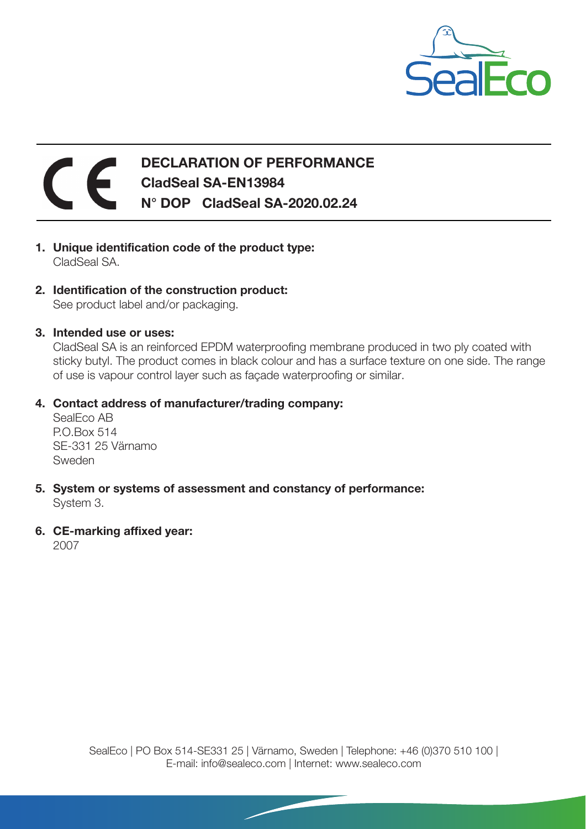

## DECLARATION OF PERFORMANCE CladSeal SA-EN13984 N° DOP CladSeal SA-2020.02.24

- 1. Unique identification code of the product type: CladSeal SA.
- 2. Identification of the construction product: See product label and/or packaging.
- 3. Intended use or uses:

CladSeal SA is an reinforced EPDM waterproofing membrane produced in two ply coated with sticky butyl. The product comes in black colour and has a surface texture on one side. The range of use is vapour control layer such as façade waterproofing or similar.

## 4. Contact address of manufacturer/trading company:

SealEco AB P.O.Box 514 SE-331 25 Värnamo Sweden

- 5. System or systems of assessment and constancy of performance: System 3.
- 6. CE-marking affixed year:

2007